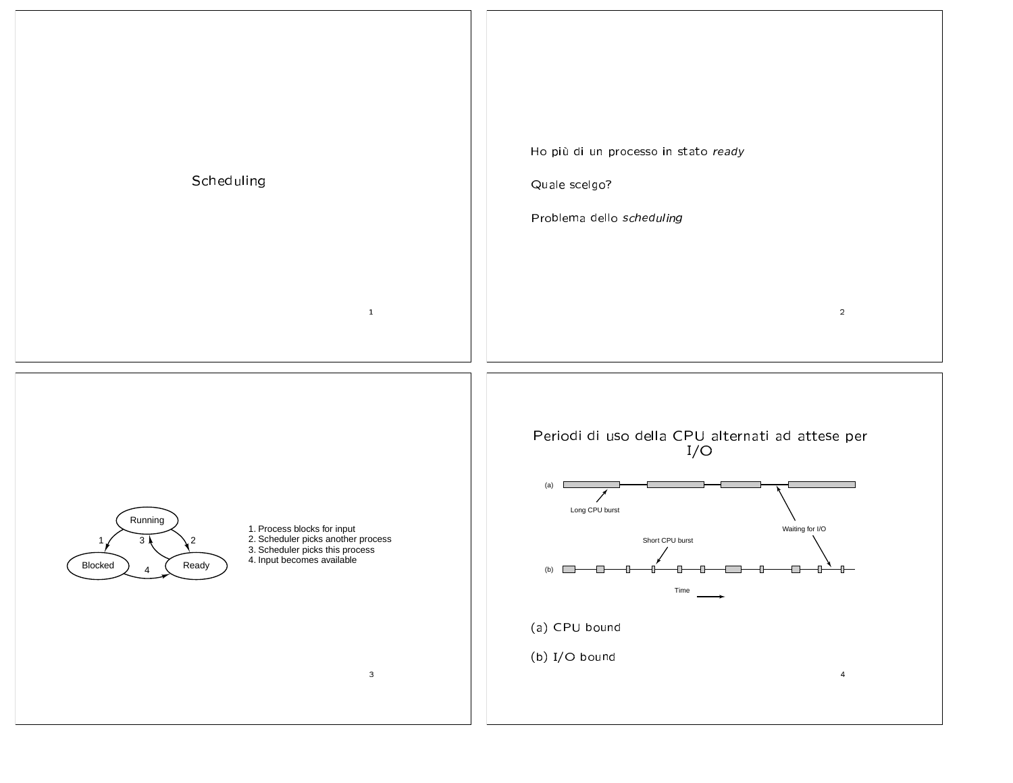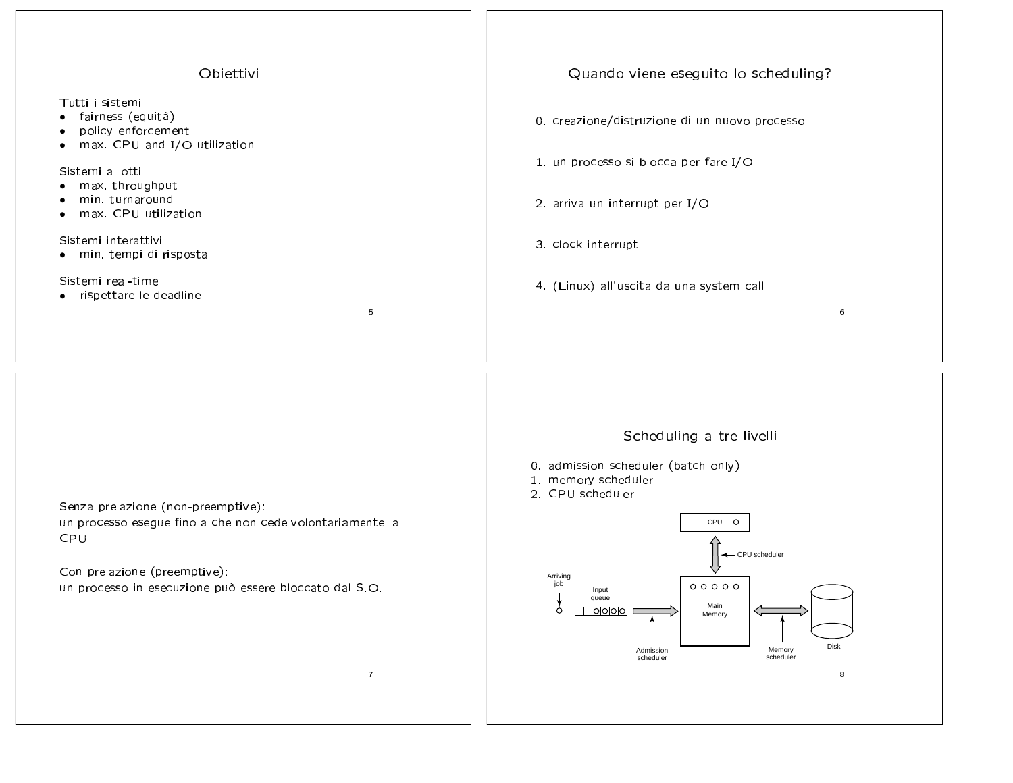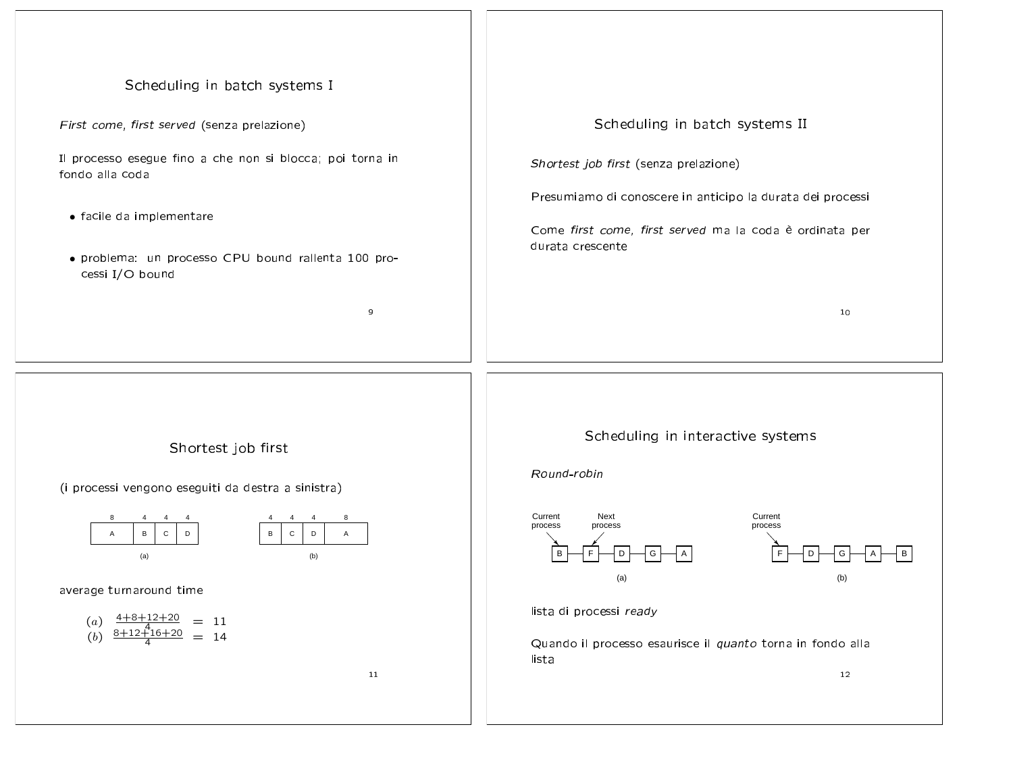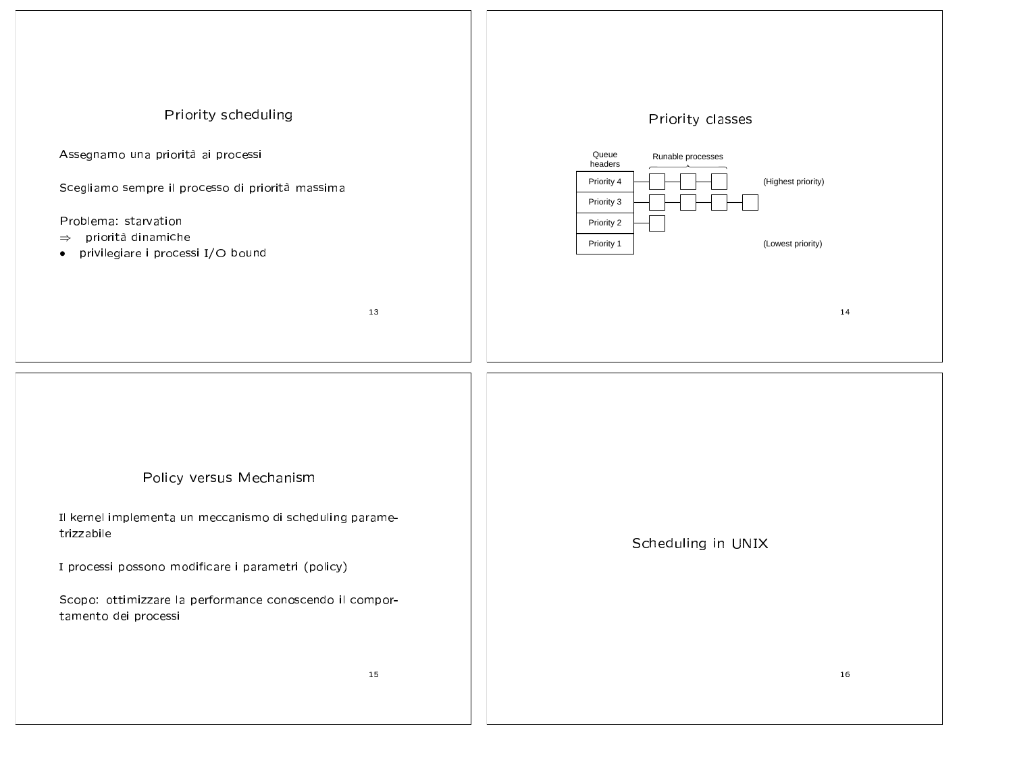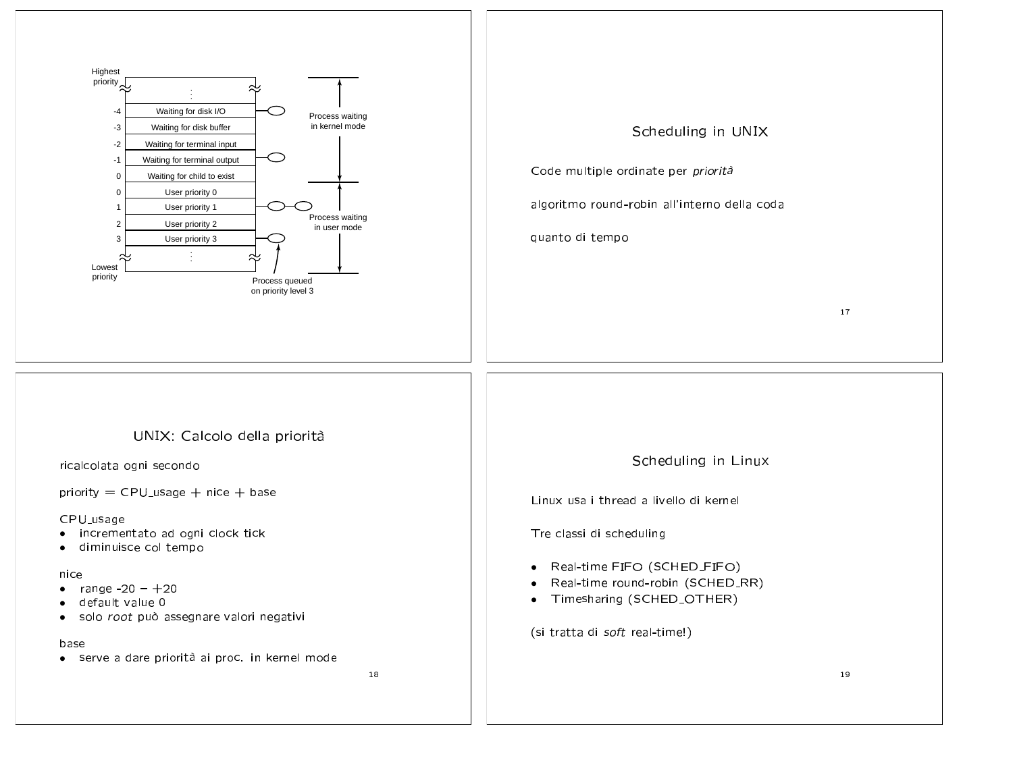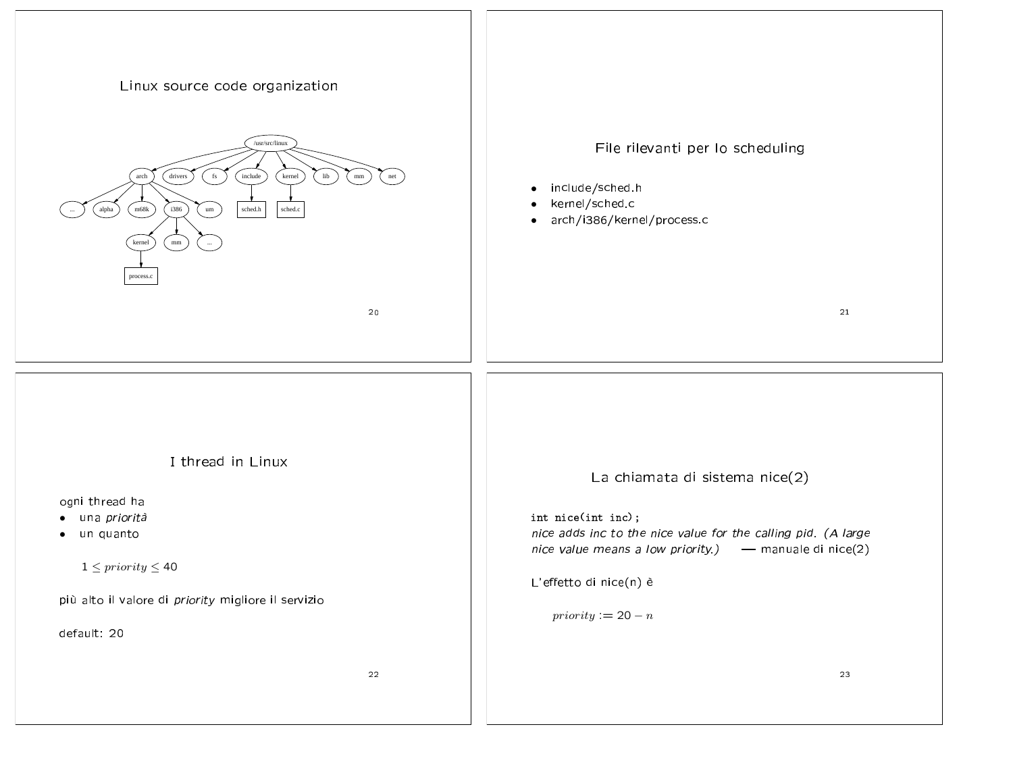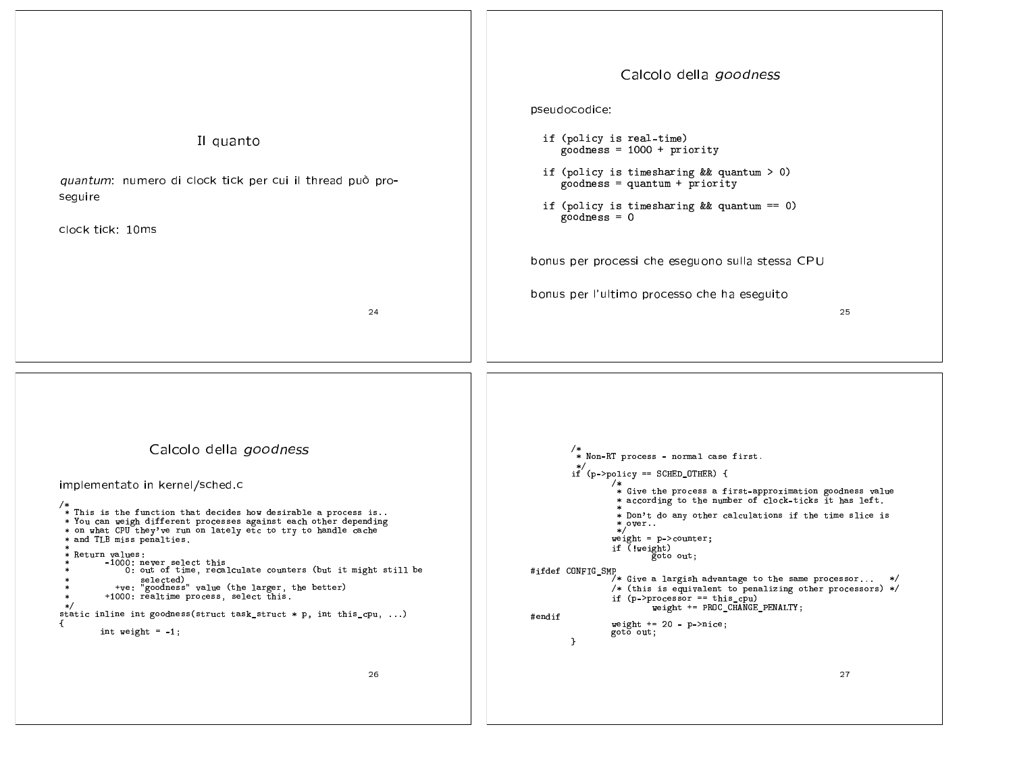![](_page_6_Figure_0.jpeg)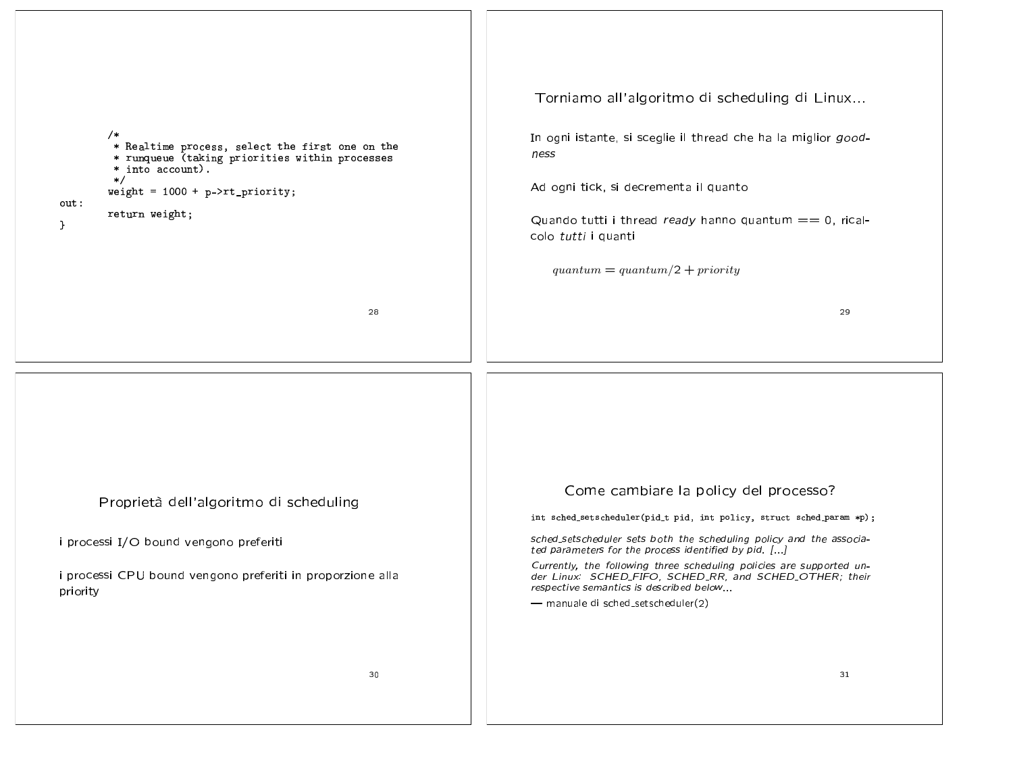| /*<br>* Realtime process, select the first one on the<br>* runqueue (taking priorities within processes<br>* into account).<br>$\ast/$<br>weight = $1000 + p$ ->rt_priority;<br>out:<br>return weight;<br>$\mathbf{r}$<br>28 | Torniamo all'algoritmo di scheduling di Linux<br>In ogni istante, si sceglie il thread che ha la miglior good-<br>ness<br>Ad ogni tick, si decrementa il quanto<br>Quando tutti i thread ready hanno quantum $== 0$ , rical-<br>colo tutti i quanti<br>$quantum = quantum/2 + priority$<br>29                                                                                                                                                                           |
|------------------------------------------------------------------------------------------------------------------------------------------------------------------------------------------------------------------------------|-------------------------------------------------------------------------------------------------------------------------------------------------------------------------------------------------------------------------------------------------------------------------------------------------------------------------------------------------------------------------------------------------------------------------------------------------------------------------|
| Proprietà dell'algoritmo di scheduling<br>i processi I/O bound vengono preferiti<br>i processi CPU bound vengono preferiti in proporzione alla<br>priority<br>30                                                             | Come cambiare la policy del processo?<br>int sched_setscheduler(pid_t pid, int policy, struct sched_param *p);<br>sched_setscheduler sets both the scheduling policy and the associa-<br>ted parameters for the process identified by pid. []<br>Currently, the following three scheduling policies are supported un-<br>der Linux: SCHED_FIFO, SCHED_RR, and SCHED_OTHER; their<br>respective semantics is described below<br>- manuale di sched_setscheduler(2)<br>31 |